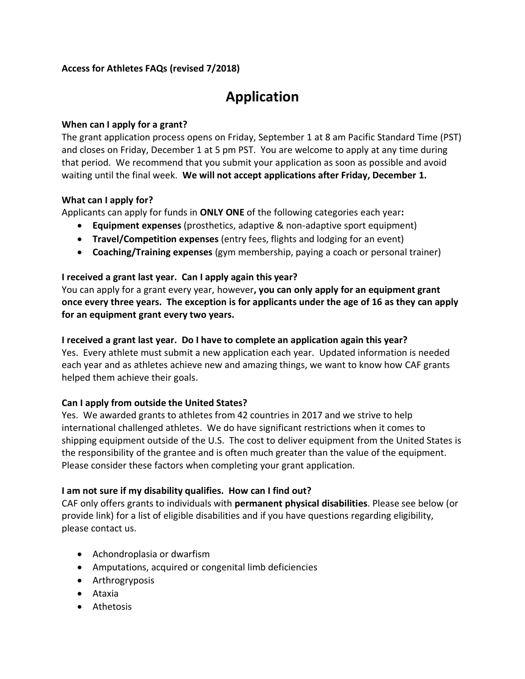# **Access for Athletes FAQs (revised 7/2018)**

# **Application**

## **When can I apply for a grant?**

The grant application process opens on Friday, September 1 at 8 am Pacific Standard Time (PST) and closes on Friday, December 1 at 5 pm PST. You are welcome to apply at any time during that period. We recommend that you submit your application as soon as possible and avoid waiting until the final week. **We will not accept applications after Friday, December 1.**

## **What can I apply for?**

Applicants can apply for funds in **ONLY ONE** of the following categories each year**:**

- **Equipment expenses** (prosthetics, adaptive & non-adaptive sport equipment)
- **Travel/Competition expenses** (entry fees, flights and lodging for an event)
- **Coaching/Training expenses** (gym membership, paying a coach or personal trainer)

## **I received a grant last year. Can I apply again this year?**

You can apply for a grant every year, however**, you can only apply for an equipment grant once every three years. The exception is for applicants under the age of 16 as they can apply for an equipment grant every two years.**

## **I received a grant last year. Do I have to complete an application again this year?**

Yes. Every athlete must submit a new application each year. Updated information is needed each year and as athletes achieve new and amazing things, we want to know how CAF grants helped them achieve their goals.

# **Can I apply from outside the United States?**

Yes. We awarded grants to athletes from 42 countries in 2017 and we strive to help international challenged athletes. We do have significant restrictions when it comes to shipping equipment outside of the U.S. The cost to deliver equipment from the United States is the responsibility of the grantee and is often much greater than the value of the equipment. Please consider these factors when completing your grant application.

# **I am not sure if my disability qualifies. How can I find out?**

CAF only offers grants to individuals with **permanent physical disabilities**. Please see below (or provide link) for a list of eligible disabilities and if you have questions regarding eligibility, please contact us.

- Achondroplasia or dwarfism
- Amputations, acquired or congenital limb deficiencies
- Arthrogryposis
- Ataxia
- Athetosis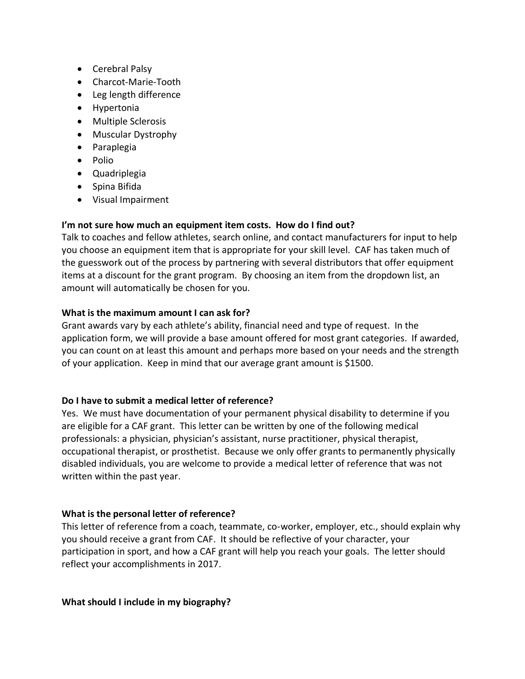- Cerebral Palsy
- Charcot-Marie-Tooth
- Leg length difference
- Hypertonia
- Multiple Sclerosis
- Muscular Dystrophy
- Paraplegia
- Polio
- Quadriplegia
- Spina Bifida
- Visual Impairment

# **I'm not sure how much an equipment item costs. How do I find out?**

Talk to coaches and fellow athletes, search online, and contact manufacturers for input to help you choose an equipment item that is appropriate for your skill level. CAF has taken much of the guesswork out of the process by partnering with several distributors that offer equipment items at a discount for the grant program. By choosing an item from the dropdown list, an amount will automatically be chosen for you.

## **What is the maximum amount I can ask for?**

Grant awards vary by each athlete's ability, financial need and type of request. In the application form, we will provide a base amount offered for most grant categories. If awarded, you can count on at least this amount and perhaps more based on your needs and the strength of your application. Keep in mind that our average grant amount is \$1500.

# **Do I have to submit a medical letter of reference?**

Yes. We must have documentation of your permanent physical disability to determine if you are eligible for a CAF grant. This letter can be written by one of the following medical professionals: a physician, physician's assistant, nurse practitioner, physical therapist, occupational therapist, or prosthetist. Because we only offer grants to permanently physically disabled individuals, you are welcome to provide a medical letter of reference that was not written within the past year.

# **What is the personal letter of reference?**

This letter of reference from a coach, teammate, co-worker, employer, etc., should explain why you should receive a grant from CAF. It should be reflective of your character, your participation in sport, and how a CAF grant will help you reach your goals. The letter should reflect your accomplishments in 2017.

#### **What should I include in my biography?**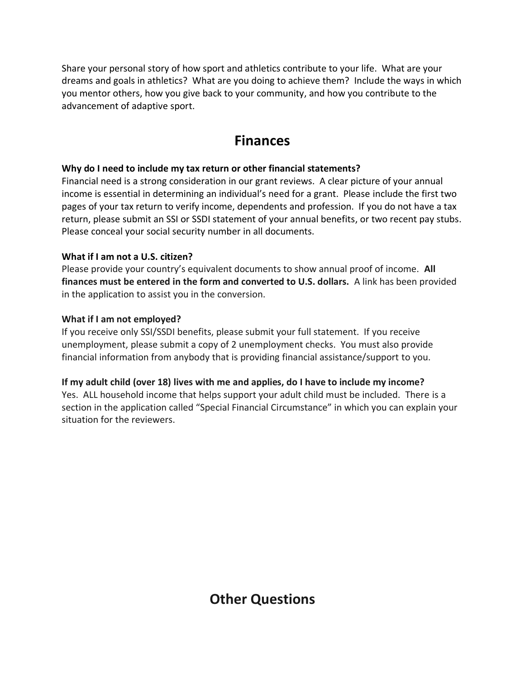Share your personal story of how sport and athletics contribute to your life. What are your dreams and goals in athletics? What are you doing to achieve them? Include the ways in which you mentor others, how you give back to your community, and how you contribute to the advancement of adaptive sport.

# **Finances**

# **Why do I need to include my tax return or other financial statements?**

Financial need is a strong consideration in our grant reviews. A clear picture of your annual income is essential in determining an individual's need for a grant. Please include the first two pages of your tax return to verify income, dependents and profession. If you do not have a tax return, please submit an SSI or SSDI statement of your annual benefits, or two recent pay stubs. Please conceal your social security number in all documents.

# **What if I am not a U.S. citizen?**

Please provide your country's equivalent documents to show annual proof of income. **All finances must be entered in the form and converted to U.S. dollars.** A link has been provided in the application to assist you in the conversion.

## **What if I am not employed?**

If you receive only SSI/SSDI benefits, please submit your full statement. If you receive unemployment, please submit a copy of 2 unemployment checks. You must also provide financial information from anybody that is providing financial assistance/support to you.

# **If my adult child (over 18) lives with me and applies, do I have to include my income?**

Yes. ALL household income that helps support your adult child must be included. There is a section in the application called "Special Financial Circumstance" in which you can explain your situation for the reviewers.

**Other Questions**